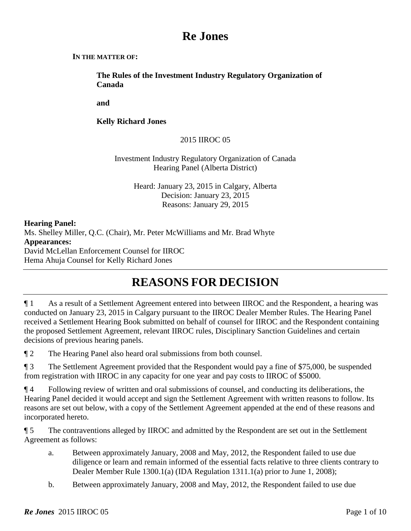# **Re Jones**

#### **IN THE MATTER OF:**

**The Rules of the Investment Industry Regulatory Organization of Canada**

**and** 

**Kelly Richard Jones**

# 2015 IIROC 05

## Investment Industry Regulatory Organization of Canada Hearing Panel (Alberta District)

Heard: January 23, 2015 in Calgary, Alberta Decision: January 23, 2015 Reasons: January 29, 2015

**Hearing Panel:** Ms. Shelley Miller, Q.C. (Chair), Mr. Peter McWilliams and Mr. Brad Whyte **Appearances:** David McLellan Enforcement Counsel for IIROC Hema Ahuja Counsel for Kelly Richard Jones

# **REASONS FOR DECISION**

¶ 1 As a result of a Settlement Agreement entered into between IIROC and the Respondent, a hearing was conducted on January 23, 2015 in Calgary pursuant to the IIROC Dealer Member Rules. The Hearing Panel received a Settlement Hearing Book submitted on behalf of counsel for IIROC and the Respondent containing the proposed Settlement Agreement, relevant IIROC rules, Disciplinary Sanction Guidelines and certain decisions of previous hearing panels.

¶ 2 The Hearing Panel also heard oral submissions from both counsel.

¶ 3 The Settlement Agreement provided that the Respondent would pay a fine of \$75,000, be suspended from registration with IIROC in any capacity for one year and pay costs to IIROC of \$5000.

¶ 4 Following review of written and oral submissions of counsel, and conducting its deliberations, the Hearing Panel decided it would accept and sign the Settlement Agreement with written reasons to follow. Its reasons are set out below, with a copy of the Settlement Agreement appended at the end of these reasons and incorporated hereto.

¶ 5 The contraventions alleged by IIROC and admitted by the Respondent are set out in the Settlement Agreement as follows:

- a. Between approximately January, 2008 and May, 2012, the Respondent failed to use due diligence or learn and remain informed of the essential facts relative to three clients contrary to Dealer Member Rule 1300.1(a) (IDA Regulation 1311.1(a) prior to June 1, 2008);
- b. Between approximately January, 2008 and May, 2012, the Respondent failed to use due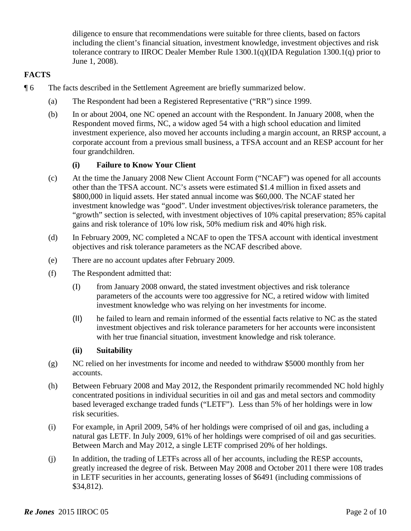diligence to ensure that recommendations were suitable for three clients, based on factors including the client's financial situation, investment knowledge, investment objectives and risk tolerance contrary to IIROC Dealer Member Rule 1300.1(q)(IDA Regulation 1300.1(q) prior to June 1, 2008).

## **FACTS**

- ¶ 6 The facts described in the Settlement Agreement are briefly summarized below.
	- (a) The Respondent had been a Registered Representative ("RR") since 1999.
	- (b) In or about 2004, one NC opened an account with the Respondent. In January 2008, when the Respondent moved firms, NC, a widow aged 54 with a high school education and limited investment experience, also moved her accounts including a margin account, an RRSP account, a corporate account from a previous small business, a TFSA account and an RESP account for her four grandchildren.

## **(i) Failure to Know Your Client**

- (c) At the time the January 2008 New Client Account Form ("NCAF") was opened for all accounts other than the TFSA account. NC's assets were estimated \$1.4 million in fixed assets and \$800,000 in liquid assets. Her stated annual income was \$60,000. The NCAF stated her investment knowledge was "good". Under investment objectives/risk tolerance parameters, the "growth" section is selected, with investment objectives of 10% capital preservation; 85% capital gains and risk tolerance of 10% low risk, 50% medium risk and 40% high risk.
- (d) In February 2009, NC completed a NCAF to open the TFSA account with identical investment objectives and risk tolerance parameters as the NCAF described above.
- (e) There are no account updates after February 2009.
- (f) The Respondent admitted that:
	- (I) from January 2008 onward, the stated investment objectives and risk tolerance parameters of the accounts were too aggressive for NC, a retired widow with limited investment knowledge who was relying on her investments for income.
	- (II) he failed to learn and remain informed of the essential facts relative to NC as the stated investment objectives and risk tolerance parameters for her accounts were inconsistent with her true financial situation, investment knowledge and risk tolerance.

### **(ii) Suitability**

- (g) NC relied on her investments for income and needed to withdraw \$5000 monthly from her accounts.
- (h) Between February 2008 and May 2012, the Respondent primarily recommended NC hold highly concentrated positions in individual securities in oil and gas and metal sectors and commodity based leveraged exchange traded funds ("LETF"). Less than 5% of her holdings were in low risk securities.
- (i) For example, in April 2009, 54% of her holdings were comprised of oil and gas, including a natural gas LETF. In July 2009, 61% of her holdings were comprised of oil and gas securities. Between March and May 2012, a single LETF comprised 20% of her holdings.
- (j) In addition, the trading of LETFs across all of her accounts, including the RESP accounts, greatly increased the degree of risk. Between May 2008 and October 2011 there were 108 trades in LETF securities in her accounts, generating losses of \$6491 (including commissions of \$34,812).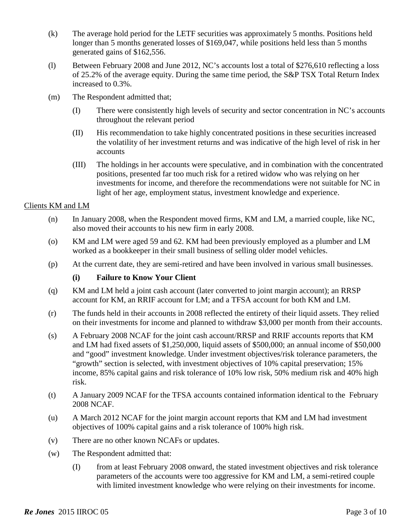- (k) The average hold period for the LETF securities was approximately 5 months. Positions held longer than 5 months generated losses of \$169,047, while positions held less than 5 months generated gains of \$162,556.
- (l) Between February 2008 and June 2012, NC's accounts lost a total of \$276,610 reflecting a loss of 25.2% of the average equity. During the same time period, the S&P TSX Total Return Index increased to 0.3%.
- (m) The Respondent admitted that;
	- (I) There were consistently high levels of security and sector concentration in NC's accounts throughout the relevant period
	- (II) His recommendation to take highly concentrated positions in these securities increased the volatility of her investment returns and was indicative of the high level of risk in her accounts
	- (III) The holdings in her accounts were speculative, and in combination with the concentrated positions, presented far too much risk for a retired widow who was relying on her investments for income, and therefore the recommendations were not suitable for NC in light of her age, employment status, investment knowledge and experience.

## Clients KM and LM

- (n) In January 2008, when the Respondent moved firms, KM and LM, a married couple, like NC, also moved their accounts to his new firm in early 2008.
- (o) KM and LM were aged 59 and 62. KM had been previously employed as a plumber and LM worked as a bookkeeper in their small business of selling older model vehicles.
- (p) At the current date, they are semi-retired and have been involved in various small businesses.

# **(i) Failure to Know Your Client**

- (q) KM and LM held a joint cash account (later converted to joint margin account); an RRSP account for KM, an RRIF account for LM; and a TFSA account for both KM and LM.
- (r) The funds held in their accounts in 2008 reflected the entirety of their liquid assets. They relied on their investments for income and planned to withdraw \$3,000 per month from their accounts.
- (s) A February 2008 NCAF for the joint cash account/RRSP and RRIF accounts reports that KM and LM had fixed assets of \$1,250,000, liquid assets of \$500,000; an annual income of \$50,000 and "good" investment knowledge. Under investment objectives/risk tolerance parameters, the "growth" section is selected, with investment objectives of 10% capital preservation; 15% income, 85% capital gains and risk tolerance of 10% low risk, 50% medium risk and 40% high risk.
- (t) A January 2009 NCAF for the TFSA accounts contained information identical to the February 2008 NCAF.
- (u) A March 2012 NCAF for the joint margin account reports that KM and LM had investment objectives of 100% capital gains and a risk tolerance of 100% high risk.
- (v) There are no other known NCAFs or updates.
- (w) The Respondent admitted that:
	- (I) from at least February 2008 onward, the stated investment objectives and risk tolerance parameters of the accounts were too aggressive for KM and LM, a semi-retired couple with limited investment knowledge who were relying on their investments for income.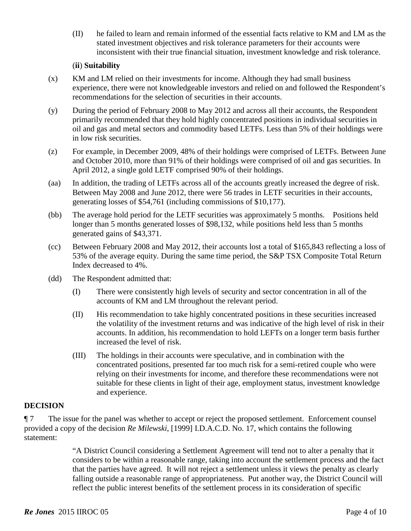(II) he failed to learn and remain informed of the essential facts relative to KM and LM as the stated investment objectives and risk tolerance parameters for their accounts were inconsistent with their true financial situation, investment knowledge and risk tolerance.

### (**ii**) **Suitability**

- (x) KM and LM relied on their investments for income. Although they had small business experience, there were not knowledgeable investors and relied on and followed the Respondent's recommendations for the selection of securities in their accounts.
- (y) During the period of February 2008 to May 2012 and across all their accounts, the Respondent primarily recommended that they hold highly concentrated positions in individual securities in oil and gas and metal sectors and commodity based LETFs. Less than 5% of their holdings were in low risk securities.
- (z) For example, in December 2009, 48% of their holdings were comprised of LETFs. Between June and October 2010, more than 91% of their holdings were comprised of oil and gas securities. In April 2012, a single gold LETF comprised 90% of their holdings.
- (aa) In addition, the trading of LETFs across all of the accounts greatly increased the degree of risk. Between May 2008 and June 2012, there were 56 trades in LETF securities in their accounts, generating losses of \$54,761 (including commissions of \$10,177).
- (bb) The average hold period for the LETF securities was approximately 5 months. Positions held longer than 5 months generated losses of \$98,132, while positions held less than 5 months generated gains of \$43,371.
- (cc) Between February 2008 and May 2012, their accounts lost a total of \$165,843 reflecting a loss of 53% of the average equity. During the same time period, the S&P TSX Composite Total Return Index decreased to 4%.
- (dd) The Respondent admitted that:
	- (I) There were consistently high levels of security and sector concentration in all of the accounts of KM and LM throughout the relevant period.
	- (II) His recommendation to take highly concentrated positions in these securities increased the volatility of the investment returns and was indicative of the high level of risk in their accounts. In addition, his recommendation to hold LEFTs on a longer term basis further increased the level of risk.
	- (III) The holdings in their accounts were speculative, and in combination with the concentrated positions, presented far too much risk for a semi-retired couple who were relying on their investments for income, and therefore these recommendations were not suitable for these clients in light of their age, employment status, investment knowledge and experience.

# **DECISION**

¶ 7 The issue for the panel was whether to accept or reject the proposed settlement. Enforcement counsel provided a copy of the decision *Re Milewski*, [1999] I.D.A.C.D. No. 17, which contains the following statement:

> "A District Council considering a Settlement Agreement will tend not to alter a penalty that it considers to be within a reasonable range, taking into account the settlement process and the fact that the parties have agreed. It will not reject a settlement unless it views the penalty as clearly falling outside a reasonable range of appropriateness. Put another way, the District Council will reflect the public interest benefits of the settlement process in its consideration of specific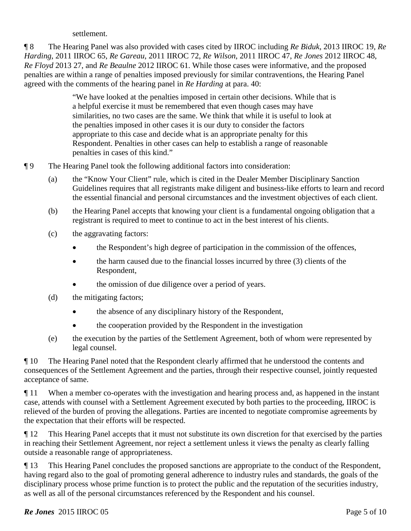settlement.

¶ 8 The Hearing Panel was also provided with cases cited by IIROC including *Re Biduk*, 2013 IIROC 19, *Re Harding*, 2011 IIROC 65, *Re Gareau*, 2011 IIROC 72, *Re Wilson*, 2011 IIROC 47, *Re Jones* 2012 IIROC 48, *Re Floyd* 2013 27, and *Re Beaulne* 2012 IIROC 61. While those cases were informative, and the proposed penalties are within a range of penalties imposed previously for similar contraventions, the Hearing Panel agreed with the comments of the hearing panel in *Re Harding* at para. 40:

> "We have looked at the penalties imposed in certain other decisions. While that is a helpful exercise it must be remembered that even though cases may have similarities, no two cases are the same. We think that while it is useful to look at the penalties imposed in other cases it is our duty to consider the factors appropriate to this case and decide what is an appropriate penalty for this Respondent. Penalties in other cases can help to establish a range of reasonable penalties in cases of this kind."

- ¶ 9 The Hearing Panel took the following additional factors into consideration:
	- (a) the "Know Your Client" rule, which is cited in the Dealer Member Disciplinary Sanction Guidelines requires that all registrants make diligent and business-like efforts to learn and record the essential financial and personal circumstances and the investment objectives of each client.
	- (b) the Hearing Panel accepts that knowing your client is a fundamental ongoing obligation that a registrant is required to meet to continue to act in the best interest of his clients.
	- (c) the aggravating factors:
		- the Respondent's high degree of participation in the commission of the offences,
		- the harm caused due to the financial losses incurred by three (3) clients of the Respondent,
		- the omission of due diligence over a period of years.
	- (d) the mitigating factors;
		- the absence of any disciplinary history of the Respondent,
		- the cooperation provided by the Respondent in the investigation
	- (e) the execution by the parties of the Settlement Agreement, both of whom were represented by legal counsel.

¶ 10 The Hearing Panel noted that the Respondent clearly affirmed that he understood the contents and consequences of the Settlement Agreement and the parties, through their respective counsel, jointly requested acceptance of same.

¶ 11 When a member co-operates with the investigation and hearing process and, as happened in the instant case, attends with counsel with a Settlement Agreement executed by both parties to the proceeding, IIROC is relieved of the burden of proving the allegations. Parties are incented to negotiate compromise agreements by the expectation that their efforts will be respected.

¶ 12 This Hearing Panel accepts that it must not substitute its own discretion for that exercised by the parties in reaching their Settlement Agreement, nor reject a settlement unless it views the penalty as clearly falling outside a reasonable range of appropriateness.

¶ 13 This Hearing Panel concludes the proposed sanctions are appropriate to the conduct of the Respondent, having regard also to the goal of promoting general adherence to industry rules and standards, the goals of the disciplinary process whose prime function is to protect the public and the reputation of the securities industry, as well as all of the personal circumstances referenced by the Respondent and his counsel.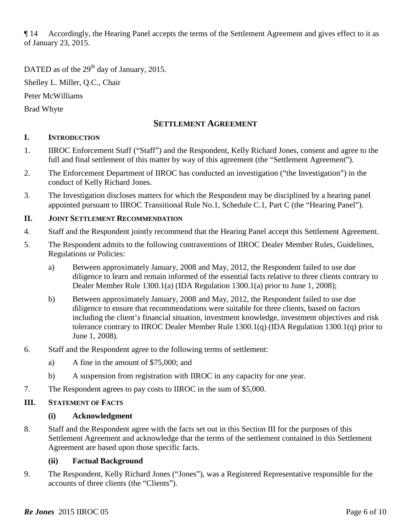¶ 14 Accordingly, the Hearing Panel accepts the terms of the Settlement Agreement and gives effect to it as of January 23, 2015.

DATED as of the  $29<sup>th</sup>$  day of January, 2015.

Shelley L. Miller, Q.C., Chair

Peter McWilliams

Brad Whyte

# **SETTLEMENT AGREEMENT**

# **I. INTRODUCTION**

- 1. IIROC Enforcement Staff ("Staff") and the Respondent, Kelly Richard Jones, consent and agree to the full and final settlement of this matter by way of this agreement (the "Settlement Agreement").
- 2. The Enforcement Department of IIROC has conducted an investigation ("the Investigation") in the conduct of Kelly Richard Jones.
- 3. The Investigation discloses matters for which the Respondent may be disciplined by a hearing panel appointed pursuant to IIROC Transitional Rule No.1, Schedule C.1, Part C (the "Hearing Panel").

# **II. JOINT SETTLEMENT RECOMMENDATION**

- 4. Staff and the Respondent jointly recommend that the Hearing Panel accept this Settlement Agreement.
- 5. The Respondent admits to the following contraventions of IIROC Dealer Member Rules, Guidelines, Regulations or Policies:
	- a) Between approximately January, 2008 and May, 2012, the Respondent failed to use due diligence to learn and remain informed of the essential facts relative to three clients contrary to Dealer Member Rule 1300.1(a) (IDA Regulation 1300.1(a) prior to June 1, 2008);
	- b) Between approximately January, 2008 and May, 2012, the Respondent failed to use due diligence to ensure that recommendations were suitable for three clients, based on factors including the client's financial situation, investment knowledge, investment objectives and risk tolerance contrary to IIROC Dealer Member Rule 1300.1(q) (IDA Regulation 1300.1(q) prior to June 1, 2008).
- 6. Staff and the Respondent agree to the following terms of settlement:
	- a) A fine in the amount of \$75,000; and
	- b) A suspension from registration with IIROC in any capacity for one year.
- 7. The Respondent agrees to pay costs to IIROC in the sum of \$5,000.

# **III. STATEMENT OF FACTS**

# **(i) Acknowledgment**

8. Staff and the Respondent agree with the facts set out in this Section III for the purposes of this Settlement Agreement and acknowledge that the terms of the settlement contained in this Settlement Agreement are based upon those specific facts.

# **(ii) Factual Background**

9. The Respondent, Kelly Richard Jones ("Jones"), was a Registered Representative responsible for the accounts of three clients (the "Clients").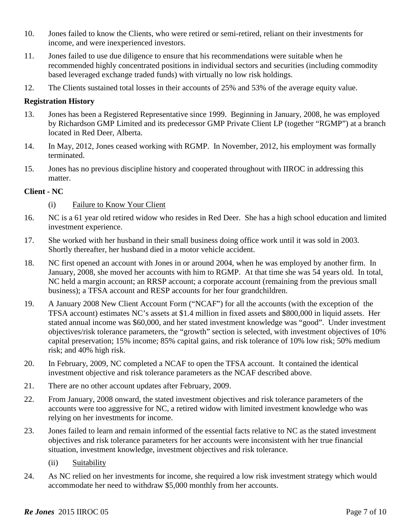- 10. Jones failed to know the Clients, who were retired or semi-retired, reliant on their investments for income, and were inexperienced investors.
- 11. Jones failed to use due diligence to ensure that his recommendations were suitable when he recommended highly concentrated positions in individual sectors and securities (including commodity based leveraged exchange traded funds) with virtually no low risk holdings.
- 12. The Clients sustained total losses in their accounts of 25% and 53% of the average equity value.

### **Registration History**

- 13. Jones has been a Registered Representative since 1999. Beginning in January, 2008, he was employed by Richardson GMP Limited and its predecessor GMP Private Client LP (together "RGMP") at a branch located in Red Deer, Alberta.
- 14. In May, 2012, Jones ceased working with RGMP. In November, 2012, his employment was formally terminated.
- 15. Jones has no previous discipline history and cooperated throughout with IIROC in addressing this matter.

## **Client - NC**

- (i) Failure to Know Your Client
- 16. NC is a 61 year old retired widow who resides in Red Deer. She has a high school education and limited investment experience.
- 17. She worked with her husband in their small business doing office work until it was sold in 2003. Shortly thereafter, her husband died in a motor vehicle accident.
- 18. NC first opened an account with Jones in or around 2004, when he was employed by another firm. In January, 2008, she moved her accounts with him to RGMP. At that time she was 54 years old. In total, NC held a margin account; an RRSP account; a corporate account (remaining from the previous small business); a TFSA account and RESP accounts for her four grandchildren.
- 19. A January 2008 New Client Account Form ("NCAF") for all the accounts (with the exception of the TFSA account) estimates NC's assets at \$1.4 million in fixed assets and \$800,000 in liquid assets. Her stated annual income was \$60,000, and her stated investment knowledge was "good". Under investment objectives/risk tolerance parameters, the "growth" section is selected, with investment objectives of 10% capital preservation; 15% income; 85% capital gains, and risk tolerance of 10% low risk; 50% medium risk; and 40% high risk.
- 20. In February, 2009, NC completed a NCAF to open the TFSA account. It contained the identical investment objective and risk tolerance parameters as the NCAF described above.
- 21. There are no other account updates after February, 2009.
- 22. From January, 2008 onward, the stated investment objectives and risk tolerance parameters of the accounts were too aggressive for NC, a retired widow with limited investment knowledge who was relying on her investments for income.
- 23. Jones failed to learn and remain informed of the essential facts relative to NC as the stated investment objectives and risk tolerance parameters for her accounts were inconsistent with her true financial situation, investment knowledge, investment objectives and risk tolerance.
	- (ii) Suitability
- 24. As NC relied on her investments for income, she required a low risk investment strategy which would accommodate her need to withdraw \$5,000 monthly from her accounts.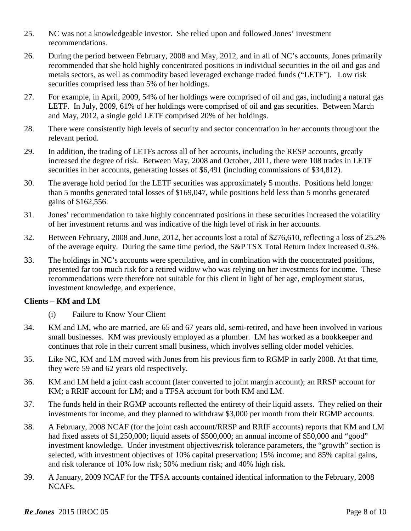- 25. NC was not a knowledgeable investor. She relied upon and followed Jones' investment recommendations.
- 26. During the period between February, 2008 and May, 2012, and in all of NC's accounts, Jones primarily recommended that she hold highly concentrated positions in individual securities in the oil and gas and metals sectors, as well as commodity based leveraged exchange traded funds ("LETF"). Low risk securities comprised less than 5% of her holdings.
- 27. For example, in April, 2009, 54% of her holdings were comprised of oil and gas, including a natural gas LETF. In July, 2009, 61% of her holdings were comprised of oil and gas securities. Between March and May, 2012, a single gold LETF comprised 20% of her holdings.
- 28. There were consistently high levels of security and sector concentration in her accounts throughout the relevant period.
- 29. In addition, the trading of LETFs across all of her accounts, including the RESP accounts, greatly increased the degree of risk. Between May, 2008 and October, 2011, there were 108 trades in LETF securities in her accounts, generating losses of \$6,491 (including commissions of \$34,812).
- 30. The average hold period for the LETF securities was approximately 5 months. Positions held longer than 5 months generated total losses of \$169,047, while positions held less than 5 months generated gains of \$162,556.
- 31. Jones' recommendation to take highly concentrated positions in these securities increased the volatility of her investment returns and was indicative of the high level of risk in her accounts.
- 32. Between February, 2008 and June, 2012, her accounts lost a total of \$276,610, reflecting a loss of 25.2% of the average equity. During the same time period, the S&P TSX Total Return Index increased 0.3%.
- 33. The holdings in NC's accounts were speculative, and in combination with the concentrated positions, presented far too much risk for a retired widow who was relying on her investments for income. These recommendations were therefore not suitable for this client in light of her age, employment status, investment knowledge, and experience.

# **Clients – KM and LM**

# (i) Failure to Know Your Client

- 34. KM and LM, who are married, are 65 and 67 years old, semi-retired, and have been involved in various small businesses. KM was previously employed as a plumber. LM has worked as a bookkeeper and continues that role in their current small business, which involves selling older model vehicles.
- 35. Like NC, KM and LM moved with Jones from his previous firm to RGMP in early 2008. At that time, they were 59 and 62 years old respectively.
- 36. KM and LM held a joint cash account (later converted to joint margin account); an RRSP account for KM; a RRIF account for LM; and a TFSA account for both KM and LM.
- 37. The funds held in their RGMP accounts reflected the entirety of their liquid assets. They relied on their investments for income, and they planned to withdraw \$3,000 per month from their RGMP accounts.
- 38. A February, 2008 NCAF (for the joint cash account/RRSP and RRIF accounts) reports that KM and LM had fixed assets of \$1,250,000; liquid assets of \$500,000; an annual income of \$50,000 and "good" investment knowledge. Under investment objectives/risk tolerance parameters, the "growth" section is selected, with investment objectives of 10% capital preservation; 15% income; and 85% capital gains, and risk tolerance of 10% low risk; 50% medium risk; and 40% high risk.
- 39. A January, 2009 NCAF for the TFSA accounts contained identical information to the February, 2008 NCAFs.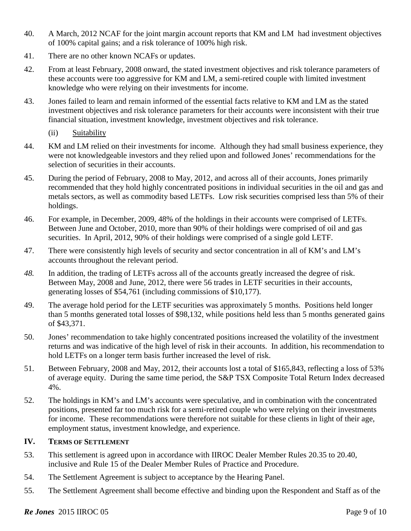- 40. A March, 2012 NCAF for the joint margin account reports that KM and LM had investment objectives of 100% capital gains; and a risk tolerance of 100% high risk.
- 41. There are no other known NCAFs or updates.
- 42. From at least February, 2008 onward, the stated investment objectives and risk tolerance parameters of these accounts were too aggressive for KM and LM, a semi-retired couple with limited investment knowledge who were relying on their investments for income.
- 43. Jones failed to learn and remain informed of the essential facts relative to KM and LM as the stated investment objectives and risk tolerance parameters for their accounts were inconsistent with their true financial situation, investment knowledge, investment objectives and risk tolerance.
	- (ii) Suitability
- 44. KM and LM relied on their investments for income. Although they had small business experience, they were not knowledgeable investors and they relied upon and followed Jones' recommendations for the selection of securities in their accounts.
- 45. During the period of February, 2008 to May, 2012, and across all of their accounts, Jones primarily recommended that they hold highly concentrated positions in individual securities in the oil and gas and metals sectors, as well as commodity based LETFs. Low risk securities comprised less than 5% of their holdings.
- 46. For example, in December, 2009, 48% of the holdings in their accounts were comprised of LETFs. Between June and October, 2010, more than 90% of their holdings were comprised of oil and gas securities. In April, 2012, 90% of their holdings were comprised of a single gold LETF.
- 47. There were consistently high levels of security and sector concentration in all of KM's and LM's accounts throughout the relevant period.
- *48.* In addition, the trading of LETFs across all of the accounts greatly increased the degree of risk. Between May, 2008 and June, 2012, there were 56 trades in LETF securities in their accounts, generating losses of \$54,761 (including commissions of \$10,177).
- 49. The average hold period for the LETF securities was approximately 5 months. Positions held longer than 5 months generated total losses of \$98,132, while positions held less than 5 months generated gains of \$43,371.
- 50. Jones' recommendation to take highly concentrated positions increased the volatility of the investment returns and was indicative of the high level of risk in their accounts. In addition, his recommendation to hold LETFs on a longer term basis further increased the level of risk.
- 51. Between February, 2008 and May, 2012, their accounts lost a total of \$165,843, reflecting a loss of 53% of average equity. During the same time period, the S&P TSX Composite Total Return Index decreased 4%.
- 52. The holdings in KM's and LM's accounts were speculative, and in combination with the concentrated positions, presented far too much risk for a semi-retired couple who were relying on their investments for income. These recommendations were therefore not suitable for these clients in light of their age, employment status, investment knowledge, and experience.

### **IV. TERMS OF SETTLEMENT**

- 53. This settlement is agreed upon in accordance with IIROC Dealer Member Rules 20.35 to 20.40, inclusive and Rule 15 of the Dealer Member Rules of Practice and Procedure.
- 54. The Settlement Agreement is subject to acceptance by the Hearing Panel.
- 55. The Settlement Agreement shall become effective and binding upon the Respondent and Staff as of the